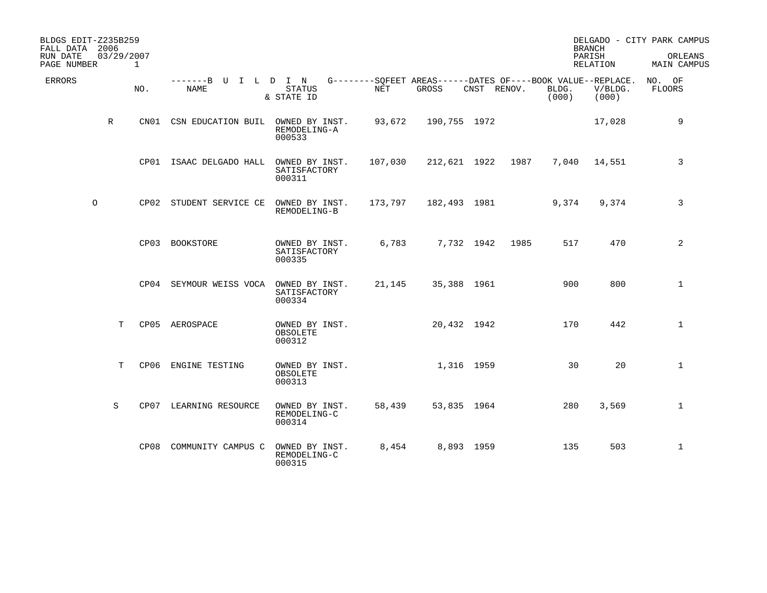| BLDGS EDIT-Z235B259<br>FALL DATA 2006<br>RUN DATE<br>PAGE NUMBER | 03/29/2007 | 1    |                                     |                                             |         |                                                                      |            |             |                | <b>BRANCH</b><br>PARISH<br>RELATION | DELGADO - CITY PARK CAMPUS<br>ORLEANS<br>MAIN CAMPUS |
|------------------------------------------------------------------|------------|------|-------------------------------------|---------------------------------------------|---------|----------------------------------------------------------------------|------------|-------------|----------------|-------------------------------------|------------------------------------------------------|
| ERRORS                                                           |            | NO.  | -------B U I L D I N<br><b>NAME</b> | <b>STATUS</b><br>& STATE ID                 | NET     | G--------SOFEET AREAS------DATES OF----BOOK VALUE--REPLACE.<br>GROSS |            | CNST RENOV. | BLDG.<br>(000) | V/BLDG.<br>(000)                    | NO. OF<br><b>FLOORS</b>                              |
|                                                                  | R          | CN01 | CSN EDUCATION BUIL                  | OWNED BY INST.<br>REMODELING-A<br>000533    | 93,672  | 190,755 1972                                                         |            |             |                | 17,028                              | 9                                                    |
|                                                                  |            |      | CP01 ISAAC DELGADO HALL             | OWNED BY INST.<br>SATISFACTORY<br>000311    | 107,030 | 212,621 1922                                                         |            | 1987        | 7,040          | 14,551                              | 3                                                    |
| $\circ$                                                          |            |      | CP02 STUDENT SERVICE CE             | OWNED BY INST.<br>REMODELING-B              | 173,797 | 182,493 1981                                                         |            |             | 9,374          | 9,374                               | 3                                                    |
|                                                                  |            |      | CP03 BOOKSTORE                      | OWNED BY INST.<br>SATISFACTORY<br>000335    | 6,783   |                                                                      | 7,732 1942 | 1985        | 517            | 470                                 | 2                                                    |
|                                                                  |            |      | CP04 SEYMOUR WEISS VOCA             | OWNED BY INST.<br>SATISFACTORY<br>000334    | 21,145  | 35,388 1961                                                          |            |             | 900            | 800                                 | $\mathbf{1}$                                         |
|                                                                  | T          |      | CP05 AEROSPACE                      | OWNED BY INST.<br>OBSOLETE<br>000312        |         | 20,432 1942                                                          |            |             | 170            | 442                                 | $\mathbf{1}$                                         |
|                                                                  | T          | CP06 | ENGINE TESTING                      | OWNED BY INST.<br><b>OBSOLETE</b><br>000313 |         | 1,316 1959                                                           |            |             | 30             | 20                                  | $\mathbf{1}$                                         |
|                                                                  | S          |      | CP07 LEARNING RESOURCE              | OWNED BY INST.<br>REMODELING-C<br>000314    | 58,439  | 53,835 1964                                                          |            |             | 280            | 3,569                               | $\mathbf 1$                                          |
|                                                                  |            | CP08 | COMMUNITY CAMPUS C                  | OWNED BY INST.<br>REMODELING-C<br>000315    | 8,454   |                                                                      | 8,893 1959 |             | 135            | 503                                 | $\mathbf 1$                                          |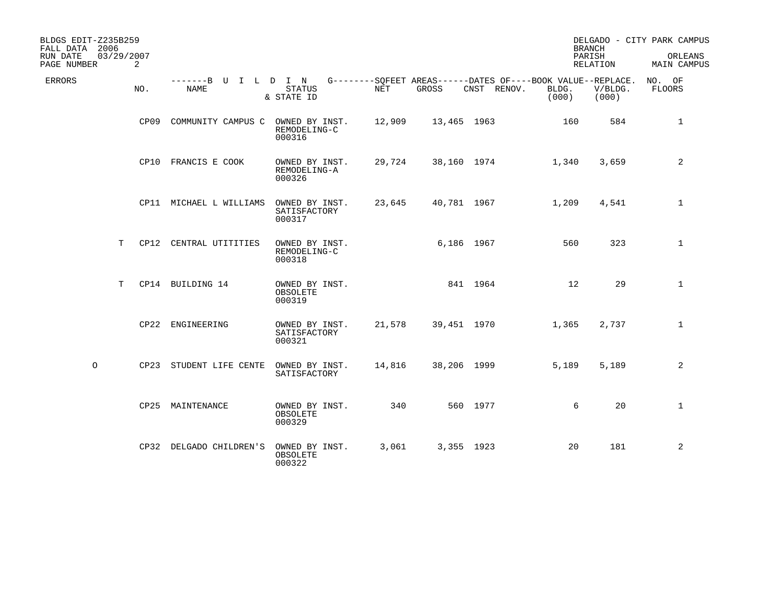| BLDGS EDIT-Z235B259<br>FALL DATA 2006<br>RUN DATE<br>PAGE NUMBER | 03/29/2007 | 2    |                                     |                                          |        |             |             |                                                                               | <b>BRANCH</b><br>PARISH<br>RELATION | DELGADO - CITY PARK CAMPUS<br>ORLEANS<br>MAIN CAMPUS |
|------------------------------------------------------------------|------------|------|-------------------------------------|------------------------------------------|--------|-------------|-------------|-------------------------------------------------------------------------------|-------------------------------------|------------------------------------------------------|
| <b>ERRORS</b>                                                    |            | NO.  | -------B U I L D I N<br><b>NAME</b> | <b>STATUS</b><br>& STATE ID              | NET    | GROSS       | CNST RENOV. | G--------SQFEET AREAS------DATES OF----BOOK VALUE--REPLACE.<br>BLDG.<br>(000) | V/BLDG.<br>(000)                    | NO. OF<br><b>FLOORS</b>                              |
|                                                                  |            | CP09 | COMMUNITY CAMPUS C OWNED BY INST.   | REMODELING-C<br>000316                   | 12,909 | 13,465 1963 |             | 160                                                                           | 584                                 | $\mathbf{1}$                                         |
|                                                                  |            |      | CP10 FRANCIS E COOK                 | OWNED BY INST.<br>REMODELING-A<br>000326 | 29,724 | 38,160 1974 |             | 1,340                                                                         | 3,659                               | 2                                                    |
|                                                                  |            |      | CP11 MICHAEL L WILLIAMS             | OWNED BY INST.<br>SATISFACTORY<br>000317 | 23,645 | 40,781 1967 |             | 1,209                                                                         | 4,541                               | $\mathbf{1}$                                         |
|                                                                  | T          |      | CP12 CENTRAL UTITITIES              | OWNED BY INST.<br>REMODELING-C<br>000318 |        | 6,186 1967  |             | 560                                                                           | 323                                 | $\mathbf{1}$                                         |
|                                                                  | T          |      | CP14 BUILDING 14                    | OWNED BY INST.<br>OBSOLETE<br>000319     |        |             | 841 1964    | 12                                                                            | 29                                  | $\mathbf{1}$                                         |
|                                                                  |            |      | CP22 ENGINEERING                    | OWNED BY INST.<br>SATISFACTORY<br>000321 | 21,578 | 39,451 1970 |             | 1,365                                                                         | 2,737                               | $\mathbf{1}$                                         |
| $\circ$                                                          |            |      | CP23 STUDENT LIFE CENTE             | OWNED BY INST.<br>SATISFACTORY           | 14,816 | 38,206 1999 |             | 5,189                                                                         | 5,189                               | 2                                                    |
|                                                                  |            |      | CP25 MAINTENANCE                    | OWNED BY INST.<br>OBSOLETE<br>000329     | 340    |             | 560 1977    |                                                                               | 20<br>6                             | $\mathbf{1}$                                         |
|                                                                  |            |      | CP32 DELGADO CHILDREN'S             | OWNED BY INST.<br>OBSOLETE<br>000322     | 3,061  | 3,355 1923  |             | 20                                                                            | 181                                 | 2                                                    |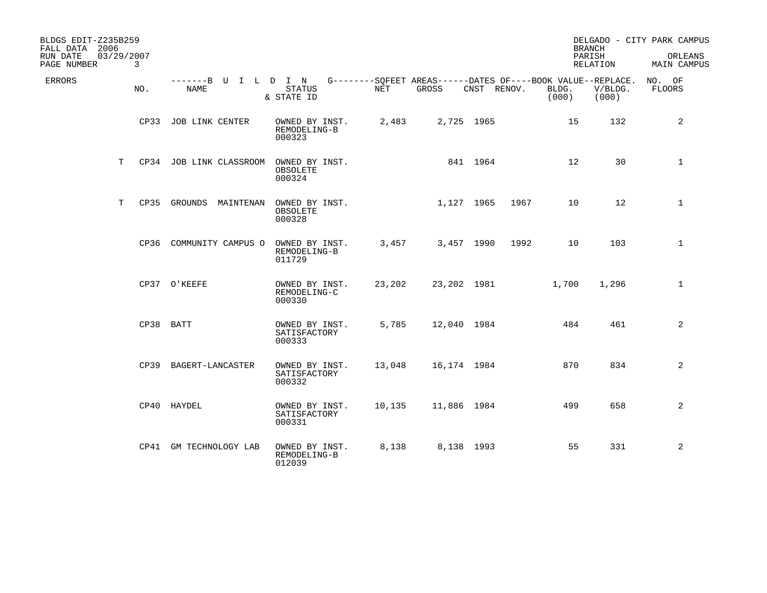| BLDGS EDIT-Z235B259<br>FALL DATA 2006<br>RUN DATE<br>PAGE NUMBER | 03/29/2007 | 3   |                                     |                                             |            |                                                                      |          |             |                | <b>BRANCH</b><br>PARISH<br>RELATION | DELGADO - CITY PARK CAMPUS<br>ORLEANS<br><b>MAIN CAMPUS</b> |
|------------------------------------------------------------------|------------|-----|-------------------------------------|---------------------------------------------|------------|----------------------------------------------------------------------|----------|-------------|----------------|-------------------------------------|-------------------------------------------------------------|
| <b>ERRORS</b>                                                    |            | NO. | -------B U I L D I N<br><b>NAME</b> | <b>STATUS</b><br>& STATE ID                 | <b>NET</b> | G--------SOFEET AREAS------DATES OF----BOOK VALUE--REPLACE.<br>GROSS |          | CNST RENOV. | BLDG.<br>(000) | V/BLDG.<br>(000)                    | NO. OF<br><b>FLOORS</b>                                     |
|                                                                  |            |     | CP33 JOB LINK CENTER                | OWNED BY INST.<br>REMODELING-B<br>000323    | 2,483      | 2,725 1965                                                           |          |             | 15             | 132                                 | 2                                                           |
|                                                                  | T          |     | CP34 JOB LINK CLASSROOM             | OWNED BY INST.<br>OBSOLETE<br>000324        |            |                                                                      | 841 1964 |             | 12             | 30                                  | $\mathbf{1}$                                                |
|                                                                  | T          |     | CP35 GROUNDS<br>MAINTENAN           | OWNED BY INST.<br><b>OBSOLETE</b><br>000328 |            | 1,127 1965                                                           |          | 1967        | 10             | 12                                  | $\mathbf{1}$                                                |
|                                                                  |            |     | CP36 COMMUNITY CAMPUS O             | OWNED BY INST.<br>REMODELING-B<br>011729    | 3,457      | 3,457 1990                                                           |          | 1992        | 10             | 103                                 | $\mathbf{1}$                                                |
|                                                                  |            |     | CP37 O'KEEFE                        | OWNED BY INST.<br>REMODELING-C<br>000330    | 23,202     | 23,202 1981                                                          |          |             | 1,700          | 1,296                               | $\mathbf{1}$                                                |
|                                                                  |            |     | CP38 BATT                           | OWNED BY INST.<br>SATISFACTORY<br>000333    | 5,785      | 12,040 1984                                                          |          |             | 484            | 461                                 | 2                                                           |
|                                                                  |            |     | CP39 BAGERT-LANCASTER               | OWNED BY INST.<br>SATISFACTORY<br>000332    | 13,048     | 16,174 1984                                                          |          |             | 870            | 834                                 | 2                                                           |
|                                                                  |            |     | CP40 HAYDEL                         | OWNED BY INST.<br>SATISFACTORY<br>000331    | 10,135     | 11,886 1984                                                          |          |             | 499            | 658                                 | 2                                                           |
|                                                                  |            |     | CP41 GM TECHNOLOGY LAB              | OWNED BY INST.<br>REMODELING-B<br>012039    | 8,138      | 8,138 1993                                                           |          |             | 55             | 331                                 | 2                                                           |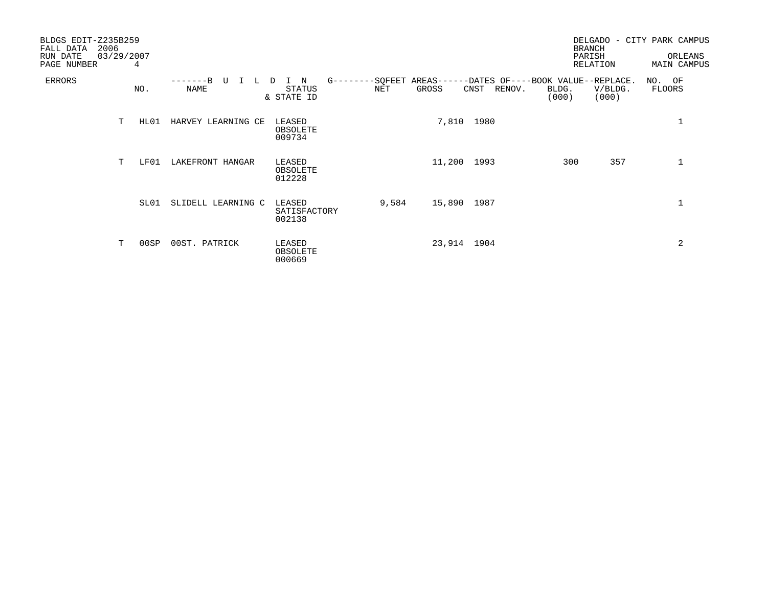| BLDGS EDIT-Z235B259<br>2006<br>FALL DATA<br>RUN DATE<br>PAGE NUMBER | 03/29/2007 | 4    |                    |                                  |       |             |             |                                                                               | <b>BRANCH</b><br>PARISH | DELGADO - CITY PARK CAMPUS<br>RELATION |                  | ORLEANS<br><b>MAIN CAMPUS</b> |
|---------------------------------------------------------------------|------------|------|--------------------|----------------------------------|-------|-------------|-------------|-------------------------------------------------------------------------------|-------------------------|----------------------------------------|------------------|-------------------------------|
| ERRORS                                                              |            | NO.  | U<br>NAME          | N<br>STATUS<br>& STATE ID        | NET   | GROSS       | CNST RENOV. | G--------SQFEET AREAS------DATES OF----BOOK VALUE--REPLACE.<br>BLDG.<br>(000) |                         | V/BLDG.<br>(000)                       | NO. OF<br>FLOORS |                               |
|                                                                     | т          | HL01 | HARVEY LEARNING CE | LEASED<br>OBSOLETE<br>009734     |       |             | 7,810 1980  |                                                                               |                         |                                        |                  | 1                             |
|                                                                     | T          | LF01 | LAKEFRONT HANGAR   | LEASED<br>OBSOLETE<br>012228     |       | 11,200 1993 |             |                                                                               | 300                     | 357                                    |                  | $\mathbf 1$                   |
|                                                                     |            | SL01 | SLIDELL LEARNING C | LEASED<br>SATISFACTORY<br>002138 | 9,584 | 15,890      | 1987        |                                                                               |                         |                                        |                  |                               |
|                                                                     | т          | 00SP | 00ST. PATRICK      | LEASED<br>OBSOLETE<br>000669     |       | 23,914 1904 |             |                                                                               |                         |                                        |                  | 2                             |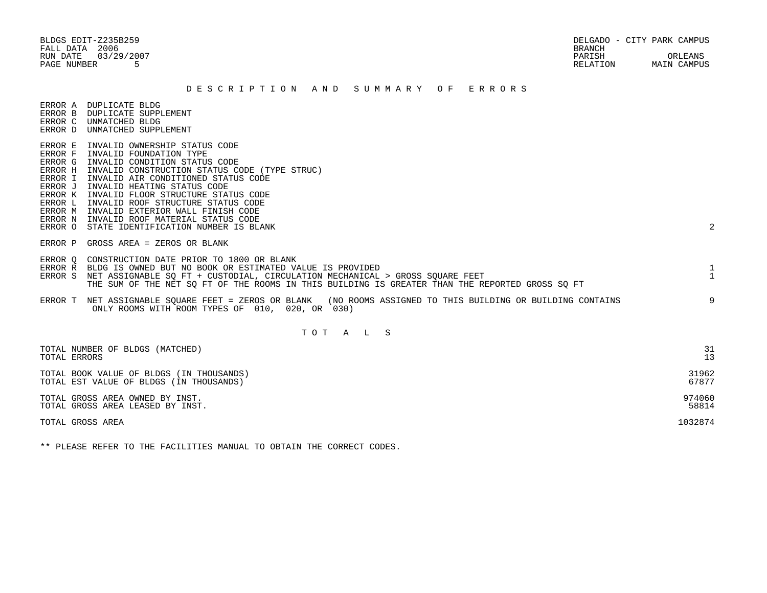FALL DATA 2006 BRANCH

## D E S C R I P T I O N A N D S U M M A R Y O F E R R O R S

ERROR A DUPLICATE BLDG

- ERROR B DUPLICATE SUPPLEMENT ERROR C UNMATCHED BLDG
- ERROR D UNMATCHED SUPPLEMENT
- ERROR E INVALID OWNERSHIP STATUS CODE
- ERROR F INVALID FOUNDATION TYPE
- ERROR G INVALID CONDITION STATUS CODE
- ERROR H INVALID CONSTRUCTION STATUS CODE (TYPE STRUC)
- ERROR I INVALID AIR CONDITIONED STATUS CODE
- ERROR J INVALID HEATING STATUS CODE

ERROR P GROSS AREA = ZEROS OR BLANK

- ERROR K INVALID FLOOR STRUCTURE STATUS CODE
- ERROR L INVALID ROOF STRUCTURE STATUS CODE
- ERROR M INVALID EXTERIOR WALL FINISH CODE
- ERROR N INVALID ROOF MATERIAL STATUS CODE
- ERROR O STATE IDENTIFICATION NUMBER IS BLANK 2

 ERROR Q CONSTRUCTION DATE PRIOR TO 1800 OR BLANK ERROR R BLDG IS OWNED BUT NO BOOK OR ESTIMATED VALUE IS PROVIDED 1 ERROR S NET ASSIGNABLE SO FT + CUSTODIAL, CIRCULATION MECHANICAL > GROSS SOUARE FEET 1 THE SUM OF THE NET SQ FT OF THE ROOMS IN THIS BUILDING IS GREATER THAN THE REPORTED GROSS SQ FT ERROR T NET ASSIGNABLE SQUARE FEET = ZEROS OR BLANK (NO ROOMS ASSIGNED TO THIS BUILDING OR BUILDING CONTAINS 9 ONLY ROOMS WITH ROOM TYPES OF 010, 020, OR 030)

## T O T A L S

| TOTAL NUMBER OF BLDGS (MATCHED)          | 31      |
|------------------------------------------|---------|
| TOTAL ERRORS                             | 13      |
| TOTAL BOOK VALUE OF BLDGS (IN THOUSANDS) | 31962   |
| TOTAL EST VALUE OF BLDGS (IN THOUSANDS)  | 67877   |
| TOTAL GROSS AREA OWNED BY INST.          | 974060  |
| TOTAL GROSS AREA LEASED BY INST.         | 58814   |
| TOTAL GROSS AREA                         | 1032874 |

\*\* PLEASE REFER TO THE FACILITIES MANUAL TO OBTAIN THE CORRECT CODES.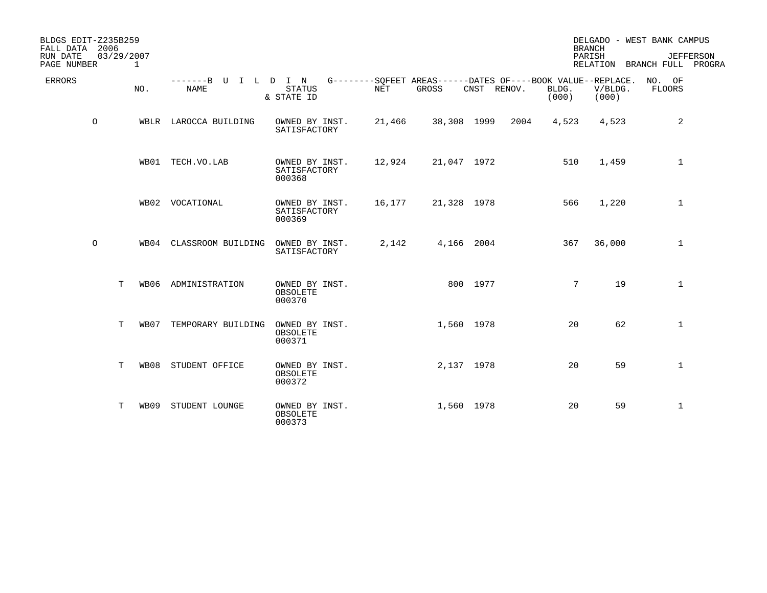| BLDGS EDIT-Z235B259<br>FALL DATA 2006<br>03/29/2007<br>RUN DATE<br>PAGE NUMBER | $\mathbf{1}$ |                              |                                          |        |                                                                             |             |      |                | <b>BRANCH</b><br>PARISH | DELGADO - WEST BANK CAMPUS<br>RELATION BRANCH FULL PROGRA | <b>JEFFERSON</b> |
|--------------------------------------------------------------------------------|--------------|------------------------------|------------------------------------------|--------|-----------------------------------------------------------------------------|-------------|------|----------------|-------------------------|-----------------------------------------------------------|------------------|
| ERRORS                                                                         | NO.          | -------B U I L D I N<br>NAME | <b>STATUS</b><br>& STATE ID              | NET    | G--------SOFEET AREAS------DATES OF----BOOK VALUE--REPLACE. NO. OF<br>GROSS | CNST RENOV. |      | BLDG.<br>(000) | V/BLDG.<br>(000)        | <b>FLOORS</b>                                             |                  |
| $\circ$                                                                        |              | WBLR LAROCCA BUILDING        | OWNED BY INST.<br>SATISFACTORY           | 21,466 |                                                                             | 38,308 1999 | 2004 | 4,523          | 4,523                   | 2                                                         |                  |
|                                                                                |              | WB01 TECH.VO.LAB             | OWNED BY INST.<br>SATISFACTORY<br>000368 | 12,924 |                                                                             | 21,047 1972 |      | 510            | 1,459                   | $\mathbf{1}$                                              |                  |
|                                                                                |              | WB02 VOCATIONAL              | OWNED BY INST.<br>SATISFACTORY<br>000369 | 16,177 |                                                                             | 21,328 1978 |      | 566            | 1,220                   | $\mathbf{1}$                                              |                  |
| $\circ$                                                                        |              | WB04 CLASSROOM BUILDING      | OWNED BY INST.<br>SATISFACTORY           | 2,142  |                                                                             | 4,166 2004  |      | 367            | 36,000                  | $\mathbf{1}$                                              |                  |
| T                                                                              |              | WB06 ADMINISTRATION          | OWNED BY INST.<br>OBSOLETE<br>000370     |        |                                                                             | 800 1977    |      | 7              | 19                      | $\mathbf 1$                                               |                  |
| T                                                                              | WB07         | TEMPORARY BUILDING           | OWNED BY INST.<br>OBSOLETE<br>000371     |        |                                                                             | 1,560 1978  |      | 20             | 62                      | $\mathbf{1}$                                              |                  |
| Т                                                                              | WB08         | STUDENT OFFICE               | OWNED BY INST.<br>OBSOLETE<br>000372     |        |                                                                             | 2,137 1978  |      | 20             | 59                      | $\mathbf 1$                                               |                  |
| т                                                                              | WB09         | STUDENT LOUNGE               | OWNED BY INST.<br>OBSOLETE<br>000373     |        |                                                                             | 1,560 1978  |      | 20             | 59                      | $\mathbf{1}$                                              |                  |